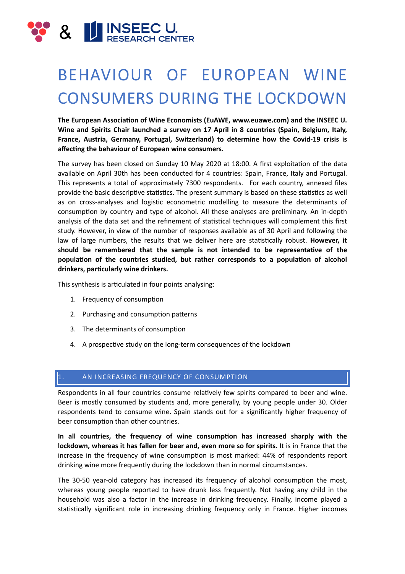

# BEHAVIOUR OF EUROPEAN WINE CONSUMERS DURING THE LOCKDOWN

The European Association of Wine Economists (EuAWE, www.euawe.com) and the INSEEC U. Wine and Spirits Chair launched a survey on 17 April in 8 countries (Spain, Belgium, Italy, France, Austria, Germany, Portugal, Switzerland) to determine how the Covid-19 crisis is affecting the behaviour of European wine consumers.

The survey has been closed on Sunday 10 May 2020 at 18:00. A first exploitation of the data available on April 30th has been conducted for 4 countries: Spain, France, Italy and Portugal. This represents a total of approximately 7300 respondents. For each country, annexed files provide the basic descriptive statistics. The present summary is based on these statistics as well as on cross-analyses and logistic econometric modelling to measure the determinants of consumption by country and type of alcohol. All these analyses are preliminary. An in-depth analysis of the data set and the refinement of statistical techniques will complement this first study. However, in view of the number of responses available as of 30 April and following the law of large numbers, the results that we deliver here are statistically robust. **However, it** should be remembered that the sample is not intended to be representative of the population of the countries studied, but rather corresponds to a population of alcohol drinkers, particularly wine drinkers.

This synthesis is articulated in four points analysing:

- 1. Frequency of consumption
- 2. Purchasing and consumption patterns
- 3. The determinants of consumption
- 4. A prospective study on the long-term consequences of the lockdown

### 1. AN INCREASING FREQUENCY OF CONSUMPTION

Respondents in all four countries consume relatively few spirits compared to beer and wine. Beer is mostly consumed by students and, more generally, by young people under 30. Older respondents tend to consume wine. Spain stands out for a significantly higher frequency of beer consumption than other countries.

In all countries, the frequency of wine consumption has increased sharply with the **lockdown, whereas it has fallen for beer and, even more so for spirits.** It is in France that the increase in the frequency of wine consumption is most marked: 44% of respondents report drinking wine more frequently during the lockdown than in normal circumstances.

The 30-50 year-old category has increased its frequency of alcohol consumption the most, whereas young people reported to have drunk less frequently. Not having any child in the household was also a factor in the increase in drinking frequency. Finally, income played a statistically significant role in increasing drinking frequency only in France. Higher incomes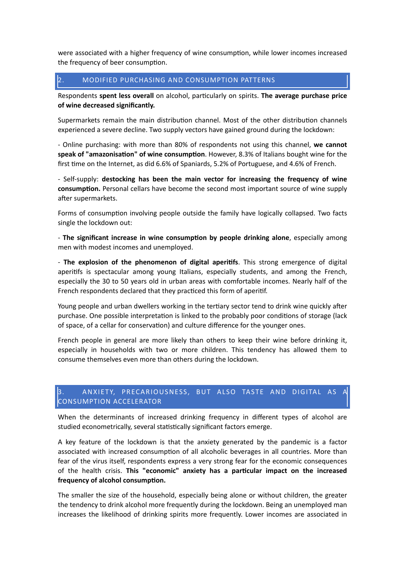were associated with a higher frequency of wine consumption, while lower incomes increased the frequency of beer consumption.

## 2. MODIFIED PURCHASING AND CONSUMPTION PATTERNS

Respondents **spent less overall** on alcohol, particularly on spirits. The average purchase price of wine decreased significantly.

Supermarkets remain the main distribution channel. Most of the other distribution channels experienced a severe decline. Two supply vectors have gained ground during the lockdown:

- Online purchasing: with more than 80% of respondents not using this channel, we cannot speak of "amazonisation" of wine consumption. However, 8.3% of Italians bought wine for the first time on the Internet, as did 6.6% of Spaniards, 5.2% of Portuguese, and 4.6% of French.

- Self-supply: **destocking has been the main vector for increasing the frequency of wine consumption.** Personal cellars have become the second most important source of wine supply after supermarkets.

Forms of consumption involving people outside the family have logically collapsed. Two facts single the lockdown out:

- The significant increase in wine consumption by people drinking alone, especially among men with modest incomes and unemployed.

- **The explosion of the phenomenon of digital aperitifs**. This strong emergence of digital aperitifs is spectacular among young Italians, especially students, and among the French, especially the 30 to 50 years old in urban areas with comfortable incomes. Nearly half of the French respondents declared that they practiced this form of aperitif.

Young people and urban dwellers working in the tertiary sector tend to drink wine quickly after purchase. One possible interpretation is linked to the probably poor conditions of storage (lack of space, of a cellar for conservation) and culture difference for the younger ones.

French people in general are more likely than others to keep their wine before drinking it. especially in households with two or more children. This tendency has allowed them to consume themselves even more than others during the lockdown.

# 3. ANXIETY, PRECARIOUSNESS, BUT ALSO TASTE AND DIGITAL AS CONSUMPTION ACCELERATOR

When the determinants of increased drinking frequency in different types of alcohol are studied econometrically, several statistically significant factors emerge.

A key feature of the lockdown is that the anxiety generated by the pandemic is a factor associated with increased consumption of all alcoholic beverages in all countries. More than fear of the virus itself, respondents express a very strong fear for the economic consequences of the health crisis. This "economic" anxiety has a particular impact on the increased frequency of alcohol consumption.

The smaller the size of the household, especially being alone or without children, the greater the tendency to drink alcohol more frequently during the lockdown. Being an unemployed man increases the likelihood of drinking spirits more frequently. Lower incomes are associated in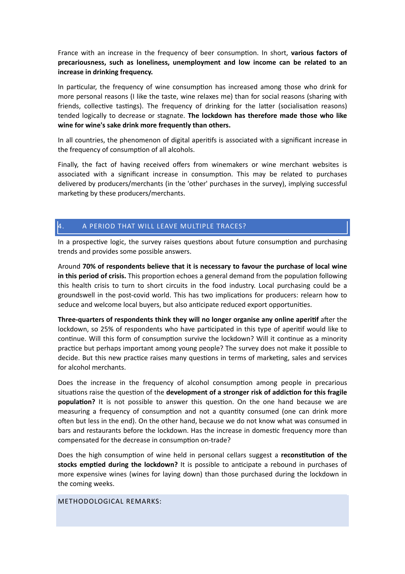France with an increase in the frequency of beer consumption. In short, various factors of precariousness, such as loneliness, unemployment and low income can be related to an increase in drinking frequency.

In particular, the frequency of wine consumption has increased among those who drink for more personal reasons (I like the taste, wine relaxes me) than for social reasons (sharing with friends, collective tastings). The frequency of drinking for the latter (socialisation reasons) tended logically to decrease or stagnate. The lockdown has therefore made those who like wine for wine's sake drink more frequently than others.

In all countries, the phenomenon of digital aperitifs is associated with a significant increase in the frequency of consumption of all alcohols.

Finally, the fact of having received offers from winemakers or wine merchant websites is associated with a significant increase in consumption. This may be related to purchases delivered by producers/merchants (in the 'other' purchases in the survey), implying successful marketing by these producers/merchants.

## 4. A PERIOD THAT WILL LEAVE MULTIPLE TRACES?

In a prospective logic, the survey raises questions about future consumption and purchasing trends and provides some possible answers.

Around 70% of respondents believe that it is necessary to favour the purchase of local wine in this period of crisis. This proportion echoes a general demand from the population following this health crisis to turn to short circuits in the food industry. Local purchasing could be a groundswell in the post-covid world. This has two implications for producers: relearn how to seduce and welcome local buyers, but also anticipate reduced export opportunities.

**Three-quarters of respondents think they will no longer organise any online aperitif after the** lockdown, so 25% of respondents who have participated in this type of aperitif would like to continue. Will this form of consumption survive the lockdown? Will it continue as a minority practice but perhaps important among young people? The survey does not make it possible to decide. But this new practice raises many questions in terms of marketing, sales and services for alcohol merchants.

Does the increase in the frequency of alcohol consumption among people in precarious situations raise the question of the **development of a stronger risk of addiction for this fragile population?** It is not possible to answer this question. On the one hand because we are measuring a frequency of consumption and not a quantity consumed (one can drink more often but less in the end). On the other hand, because we do not know what was consumed in bars and restaurants before the lockdown. Has the increase in domestic frequency more than compensated for the decrease in consumption on-trade?

Does the high consumption of wine held in personal cellars suggest a **reconstitution of the stocks emptied during the lockdown?** It is possible to anticipate a rebound in purchases of more expensive wines (wines for laving down) than those purchased during the lockdown in the coming weeks.

METHODOLOGICAL REMARKS: